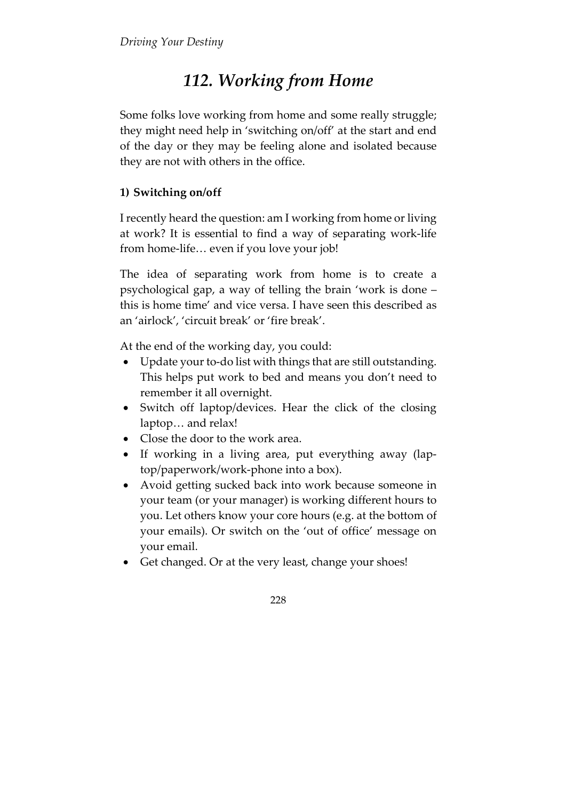## 112. Working from Home

Some folks love working from home and some really struggle; they might need help in 'switching on/off' at the start and end of the day or they may be feeling alone and isolated because they are not with others in the office.

## 1) Switching on/off

I recently heard the question: am I working from home or living at work? It is essential to find a way of separating work-life from home-life… even if you love your job!

The idea of separating work from home is to create a psychological gap, a way of telling the brain 'work is done – this is home time' and vice versa. I have seen this described as an 'airlock', 'circuit break' or 'fire break'.

At the end of the working day, you could:

- Update your to-do list with things that are still outstanding. This helps put work to bed and means you don't need to remember it all overnight.
- Switch off laptop/devices. Hear the click of the closing laptop… and relax!
- Close the door to the work area.
- If working in a living area, put everything away (laptop/paperwork/work-phone into a box).
- Avoid getting sucked back into work because someone in your team (or your manager) is working different hours to you. Let others know your core hours (e.g. at the bottom of your emails). Or switch on the 'out of office' message on your email.
- Get changed. Or at the very least, change your shoes!